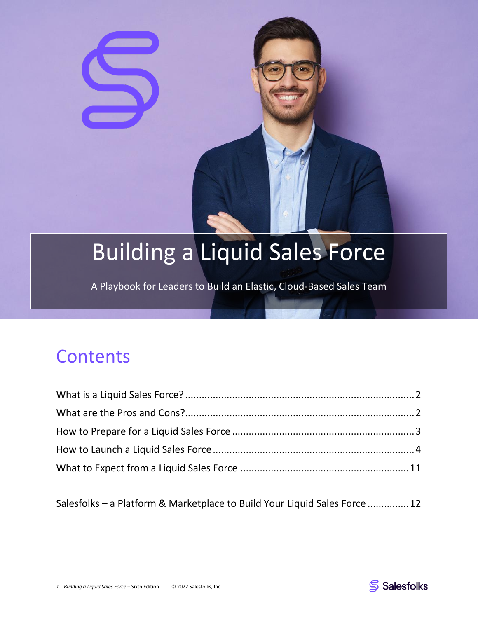# Building a Liquid Sales Force

A Playbook for Leaders to Build an Elastic, Cloud-Based Sales Team

# **Contents**

Salesfolks – [a Platform & Marketplace to Build Your Liquid](#page-11-0) Sales Force ...............12

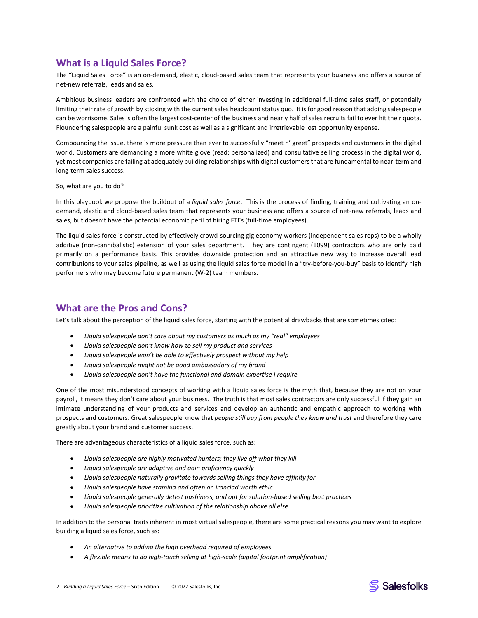# <span id="page-1-0"></span>**What is a Liquid Sales Force?**

The "Liquid Sales Force" is an on-demand, elastic, cloud-based sales team that represents your business and offers a source of net-new referrals, leads and sales.

Ambitious business leaders are confronted with the choice of either investing in additional full-time sales staff, or potentially limiting their rate of growth by sticking with the current sales headcount status quo. It is for good reason that adding salespeople can be worrisome. Sales is often the largest cost-center of the business and nearly half of sales recruits fail to ever hit their quota. Floundering salespeople are a painful sunk cost as well as a significant and irretrievable lost opportunity expense.

Compounding the issue, there is more pressure than ever to successfully "meet n' greet" prospects and customers in the digital world. Customers are demanding a more white glove (read: personalized) and consultative selling process in the digital world, yet most companies are failing at adequately building relationships with digital customers that are fundamental to near-term and long-term sales success.

So, what are you to do?

In this playbook we propose the buildout of a *liquid sales force*. This is the process of finding, training and cultivating an ondemand, elastic and cloud-based sales team that represents your business and offers a source of net-new referrals, leads and sales, but doesn't have the potential economic peril of hiring FTEs (full-time employees).

The liquid sales force is constructed by effectively crowd-sourcing gig economy workers (independent sales reps) to be a wholly additive (non-cannibalistic) extension of your sales department. They are contingent (1099) contractors who are only paid primarily on a performance basis. This provides downside protection and an attractive new way to increase overall lead contributions to your sales pipeline, as well as using the liquid sales force model in a "try-before-you-buy" basis to identify high performers who may become future permanent (W-2) team members.

# <span id="page-1-1"></span>**What are the Pros and Cons?**

Let's talk about the perception of the liquid sales force, starting with the potential drawbacks that are sometimes cited:

- *Liquid salespeople don't care about my customers as much as my "real" employees*
- *Liquid salespeople don't know how to sell my product and services*
- *Liquid salespeople won't be able to effectively prospect without my help*
- *Liquid salespeople might not be good ambassadors of my brand*
- *Liquid salespeople don't have the functional and domain expertise I require*

One of the most misunderstood concepts of working with a liquid sales force is the myth that, because they are not on your payroll, it means they don't care about your business. The truth is that most sales contractors are only successful if they gain an intimate understanding of your products and services and develop an authentic and empathic approach to working with prospects and customers. Great salespeople know that *people still buy from people they know and trust* and therefore they care greatly about your brand and customer success.

There are advantageous characteristics of a liquid sales force, such as:

- *Liquid salespeople are highly motivated hunters; they live off what they kill*
- *Liquid salespeople are adaptive and gain proficiency quickly*
- *Liquid salespeople naturally gravitate towards selling things they have affinity for*
- *Liquid salespeople have stamina and often an ironclad worth ethic*
- *Liquid salespeople generally detest pushiness, and opt for solution-based selling best practices*
- *Liquid salespeople prioritize cultivation of the relationship above all else*

In addition to the personal traits inherent in most virtual salespeople, there are some practical reasons you may want to explore building a liquid sales force, such as:

- *An alternative to adding the high overhead required of employees*
- *A flexible means to do high-touch selling at high-scale (digital footprint amplification)*

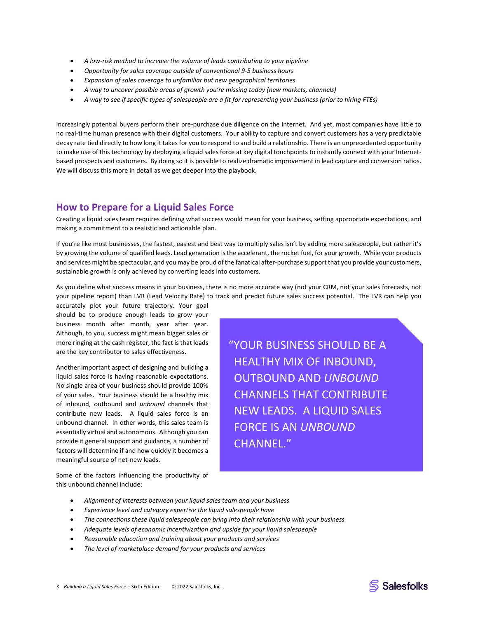- *A low-risk method to increase the volume of leads contributing to your pipeline*
- *Opportunity for sales coverage outside of conventional 9-5 business hours*
- *Expansion of sales coverage to unfamiliar but new geographical territories*
- *A way to uncover possible areas of growth you're missing today (new markets, channels)*
- *A way to see if specific types of salespeople are a fit for representing your business (prior to hiring FTEs)*

Increasingly potential buyers perform their pre-purchase due diligence on the Internet. And yet, most companies have little to no real-time human presence with their digital customers. Your ability to capture and convert customers has a very predictable decay rate tied directly to how long it takes for you to respond to and build a relationship. There is an unprecedented opportunity to make use of this technology by deploying a liquid sales force at key digital touchpoints to instantly connect with your Internetbased prospects and customers. By doing so it is possible to realize dramatic improvement in lead capture and conversion ratios. We will discuss this more in detail as we get deeper into the playbook.

# <span id="page-2-0"></span>**How to Prepare for a Liquid Sales Force**

Creating a liquid sales team requires defining what success would mean for your business, setting appropriate expectations, and making a commitment to a realistic and actionable plan.

If you're like most businesses, the fastest, easiest and best way to multiply sales isn't by adding more salespeople, but rather it's by growing the volume of qualified leads. Lead generation is the accelerant, the rocket fuel, for your growth. While your products and services might be spectacular, and you may be proud of the fanatical after-purchase support that you provide your customers, sustainable growth is only achieved by converting leads into customers.

As you define what success means in your business, there is no more accurate way (not your CRM, not your sales forecasts, not your pipeline report) than LVR (Lead Velocity Rate) to track and predict future sales success potential. The LVR can help you

accurately plot your future trajectory. Your goal should be to produce enough leads to grow your business month after month, year after year. Although, to you, success might mean bigger sales or more ringing at the cash register, the fact is that leads are the key contributor to sales effectiveness.

Another important aspect of designing and building a liquid sales force is having reasonable expectations. No single area of your business should provide 100% of your sales. Your business should be a healthy mix of inbound, outbound and *unbound* channels that contribute new leads. A liquid sales force is an unbound channel. In other words, this sales team is essentially virtual and autonomous. Although you can provide it general support and guidance, a number of factors will determine if and how quickly it becomes a meaningful source of net-new leads.

"YOUR BUSINESS SHOULD BE A HEALTHY MIX OF INBOUND, OUTBOUND AND *UNBOUND* CHANNELS THAT CONTRIBUTE NEW LEADS. A LIQUID SALES FORCE IS AN *UNBOUND* CHANNEL."

Some of the factors influencing the productivity of this unbound channel include:

- *Alignment of interests between your liquid sales team and your business*
- *Experience level and category expertise the liquid salespeople have*
- *The connections these liquid salespeople can bring into their relationship with your business*
- *Adequate levels of economic incentivization and upside for your liquid salespeople*
- *Reasonable education and training about your products and services*
- *The level of marketplace demand for your products and services*

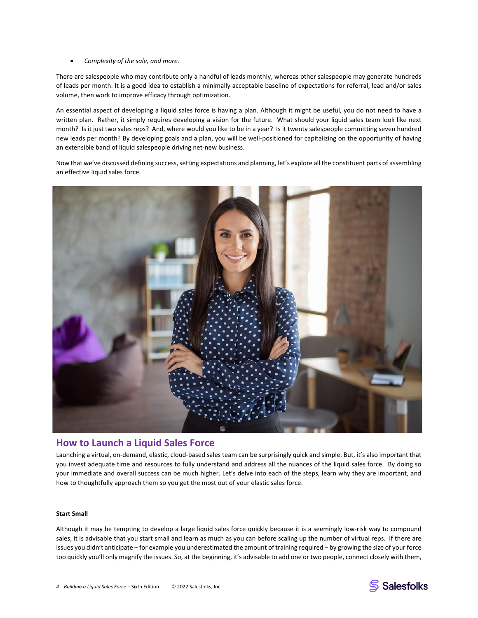#### • *Complexity of the sale, and more.*

There are salespeople who may contribute only a handful of leads monthly, whereas other salespeople may generate hundreds of leads per month. It is a good idea to establish a minimally acceptable baseline of expectations for referral, lead and/or sales volume, then work to improve efficacy through optimization.

An essential aspect of developing a liquid sales force is having a plan. Although it might be useful, you do not need to have a written plan. Rather, it simply requires developing a vision for the future. What should your liquid sales team look like next month? Is it just two sales reps? And, where would you like to be in a year? Is it twenty salespeople committing seven hundred new leads per month? By developing goals and a plan, you will be well-positioned for capitalizing on the opportunity of having an extensible band of liquid salespeople driving net-new business.

Now that we've discussed defining success, setting expectations and planning, let's explore all the constituent parts of assembling an effective liquid sales force.



### <span id="page-3-0"></span>**How to Launch a Liquid Sales Force**

Launching a virtual, on-demand, elastic, cloud-based sales team can be surprisingly quick and simple. But, it's also important that you invest adequate time and resources to fully understand and address all the nuances of the liquid sales force. By doing so your immediate and overall success can be much higher. Let's delve into each of the steps, learn why they are important, and how to thoughtfully approach them so you get the most out of your elastic sales force.

#### **Start Small**

Although it may be tempting to develop a large liquid sales force quickly because it is a seemingly low-risk way to compound sales, it is advisable that you start small and learn as much as you can before scaling up the number of virtual reps. If there are issues you didn't anticipate – for example you underestimated the amount of training required – by growing the size of your force too quickly you'll only magnify the issues. So, at the beginning, it's advisable to add one or two people, connect closely with them,



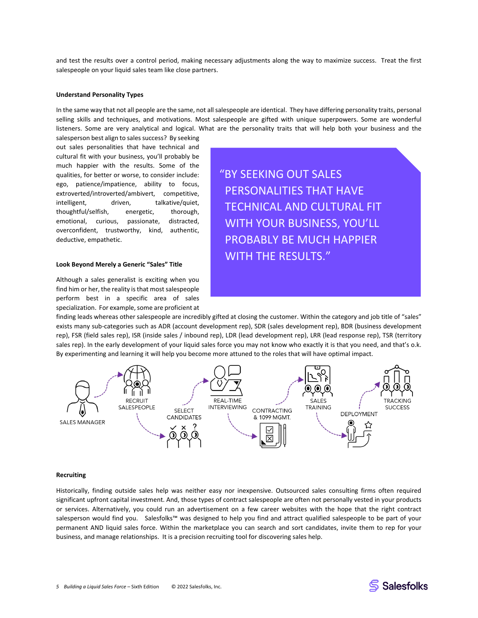and test the results over a control period, making necessary adjustments along the way to maximize success. Treat the first salespeople on your liquid sales team like close partners.

#### **Understand Personality Types**

In the same way that not all people are the same, not all salespeople are identical. They have differing personality traits, personal selling skills and techniques, and motivations. Most salespeople are gifted with unique superpowers. Some are wonderful listeners. Some are very analytical and logical. What are the personality traits that will help both your business and the

salesperson best align to sales success? By seeking out sales personalities that have technical and cultural fit with your business, you'll probably be much happier with the results. Some of the qualities, for better or worse, to consider include: ego, patience/impatience, ability to focus, extroverted/introverted/ambivert, competitive, intelligent, driven, talkative/quiet, thoughtful/selfish, energetic, thorough, emotional, curious, passionate, distracted, overconfident, trustworthy, kind, authentic, deductive, empathetic.

#### **Look Beyond Merely a Generic "Sales" Title**

Although a sales generalist is exciting when you find him or her, the reality is that most salespeople perform best in a specific area of sales specialization. For example, some are proficient at "BY SEEKING OUT SALES PERSONALITIES THAT HAVE TECHNICAL AND CULTURAL FIT WITH YOUR BUSINESS, YOU'LL PROBABLY BE MUCH HAPPIER WITH THE RESULTS."

finding leads whereas other salespeople are incredibly gifted at closing the customer. Within the category and job title of "sales" exists many sub-categories such as ADR (account development rep), SDR (sales development rep), BDR (business development rep), FSR (field sales rep), ISR (inside sales / inbound rep), LDR (lead development rep), LRR (lead response rep), TSR (territory sales rep). In the early development of your liquid sales force you may not know who exactly it is that you need, and that's o.k. By experimenting and learning it will help you become more attuned to the roles that will have optimal impact.



#### **Recruiting**

Historically, finding outside sales help was neither easy nor inexpensive. Outsourced sales consulting firms often required significant upfront capital investment. And, those types of contract salespeople are often not personally vested in your products or services. Alternatively, you could run an advertisement on a few career websites with the hope that the right contract salesperson would find you. Salesfolks™ was designed to help you find and attract qualified salespeople to be part of your permanent AND liquid sales force. Within the marketplace you can search and sort candidates, invite them to rep for your business, and manage relationships. It is a precision recruiting tool for discovering sales help.

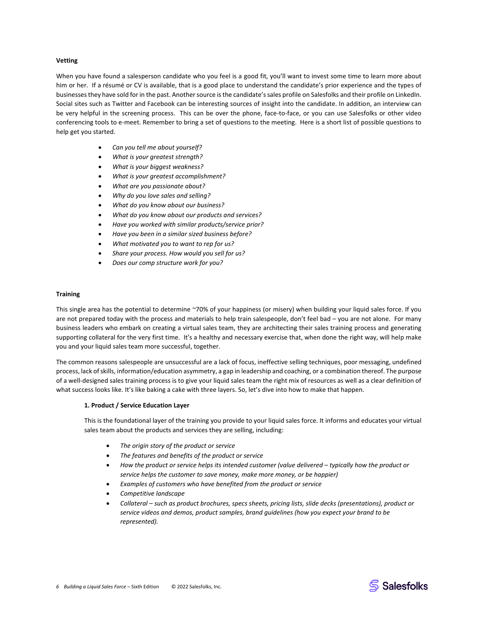#### **Vetting**

When you have found a salesperson candidate who you feel is a good fit, you'll want to invest some time to learn more about him or her. If a résumé or CV is available, that is a good place to understand the candidate's prior experience and the types of businesses they have sold for in the past. Another source is the candidate's sales profile on Salesfolks and their profile on LinkedIn. Social sites such as Twitter and Facebook can be interesting sources of insight into the candidate. In addition, an interview can be very helpful in the screening process. This can be over the phone, face-to-face, or you can use Salesfolks or other video conferencing tools to e-meet. Remember to bring a set of questions to the meeting. Here is a short list of possible questions to help get you started.

- *Can you tell me about yourself?*
- *What is your greatest strength?*
- *What is your biggest weakness?*
- *What is your greatest accomplishment?*
- *What are you passionate about?*
- *Why do you love sales and selling?*
- *What do you know about our business?*
- *What do you know about our products and services?*
- *Have you worked with similar products/service prior?*
- *Have you been in a similar sized business before?*
- *What motivated you to want to rep for us?*
- *Share your process. How would you sell for us?*
- *Does our comp structure work for you?*

#### **Training**

This single area has the potential to determine ~70% of your happiness (or misery) when building your liquid sales force. If you are not prepared today with the process and materials to help train salespeople, don't feel bad – you are not alone. For many business leaders who embark on creating a virtual sales team, they are architecting their sales training process and generating supporting collateral for the very first time. It's a healthy and necessary exercise that, when done the right way, will help make you and your liquid sales team more successful, together.

The common reasons salespeople are unsuccessful are a lack of focus, ineffective selling techniques, poor messaging, undefined process, lack of skills, information/education asymmetry, a gap in leadership and coaching, or a combination thereof. The purpose of a well-designed sales training process is to give your liquid sales team the right mix of resources as well as a clear definition of what success looks like. It's like baking a cake with three layers. So, let's dive into how to make that happen.

#### **1. Product / Service Education Layer**

This is the foundational layer of the training you provide to your liquid sales force. It informs and educates your virtual sales team about the products and services they are selling, including:

- *The origin story of the product or service*
- *The features and benefits of the product or service*
- *How the product or service helps its intended customer (value delivered – typically how the product or service helps the customer to save money, make more money, or be happier)*
- *Examples of customers who have benefited from the product or service*
- *Competitive landscape*
- *Collateral – such as product brochures, specs sheets, pricing lists, slide decks (presentations), product or service videos and demos, product samples, brand guidelines (how you expect your brand to be represented).*



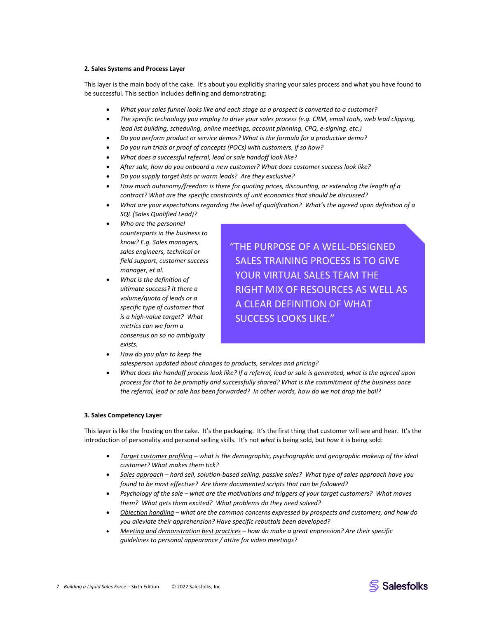#### **2. Sales Systems and Process Layer**

This layer is the main body of the cake. It's about you explicitly sharing your sales process and what you have found to be successful. This section includes defining and demonstrating:

- *What your sales funnel looks like and each stage as a prospect is converted to a customer?*
- *The specific technology you employ to drive your sales process (e.g. CRM, email tools, web lead clipping, lead list building, scheduling, online meetings, account planning, CPQ, e-signing, etc.)*
- *Do you perform product or service demos? What is the formula for a productive demo?*
- *Do you run trials or proof of concepts (POCs) with customers, if so how?*
- *What does a successful referral, lead or sale handoff look like?*
- *After sale, how do you onboard a new customer? What does customer success look like?*
- *Do you supply target lists or warm leads? Are they exclusive?*
- *How much autonomy/freedom is there for quoting prices, discounting, or extending the length of a contract? What are the specific constraints of unit economics that should be discussed?*
- *What are your expectations regarding the level of qualification? What's the agreed upon definition of a SQL (Sales Qualified Lead)?*
- *Who are the personnel counterparts in the business to know? E.g. Sales managers, sales engineers, technical or field support, customer success manager, et al.*
- *What is the definition of ultimate success? It there a volume/quota of leads or a specific type of customer that is a high-value target? What metrics can we form a consensus on so no ambiguity exists.*

"THE PURPOSE OF A WELL-DESIGNED SALES TRAINING PROCESS IS TO GIVE YOUR VIRTUAL SALES TEAM THE RIGHT MIX OF RESOURCES AS WELL AS A CLEAR DEFINITION OF WHAT SUCCESS LOOKS LIKE."

• *How do you plan to keep the* 

*salesperson updated about changes to products, services and pricing?*

• *What does the handoff process look like? If a referral, lead or sale is generated, what is the agreed upon process for that to be promptly and successfully shared? What is the commitment of the business once the referral, lead or sale has been forwarded? In other words, how do we not drop the ball?*

#### **3. Sales Competency Layer**

This layer is like the frosting on the cake. It's the packaging. It's the first thing that customer will see and hear. It's the introduction of personality and personal selling skills. It's not *what* is being sold, but *how* it is being sold:

- *Target customer profiling – what is the demographic, psychographic and geographic makeup of the ideal customer? What makes them tick?*
- *Sales approach – hard sell, solution-based selling, passive sales? What type of sales approach have you found to be most effective? Are there documented scripts that can be followed?*
- *Psychology of the sale – what are the motivations and triggers of your target customers? What moves them? What gets them excited? What problems do they need solved?*
- *Objection handling – what are the common concerns expressed by prospects and customers, and how do you alleviate their apprehension? Have specific rebuttals been developed?*
- *Meeting and demonstration best practices – how do make a great impression? Are their specific guidelines to personal appearance / attire for video meetings?*

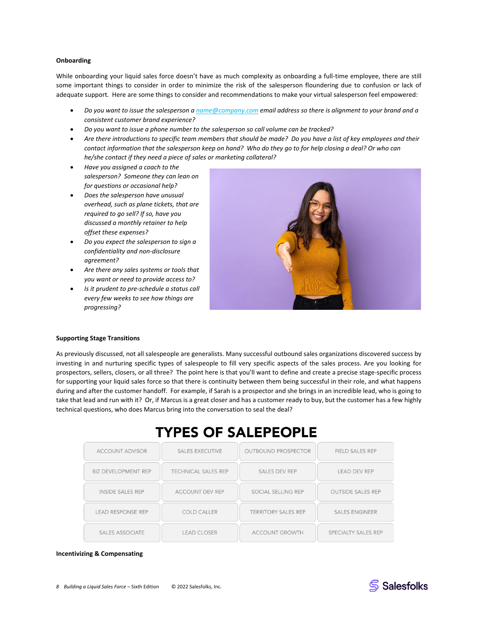#### **Onboarding**

While onboarding your liquid sales force doesn't have as much complexity as onboarding a full-time employee, there are still some important things to consider in order to minimize the risk of the salesperson floundering due to confusion or lack of adequate support. Here are some things to consider and recommendations to make your virtual salesperson feel empowered:

- *Do you want to issue the salesperson [a name@company.com](mailto:name@company.com) email address so there is alignment to your brand and a consistent customer brand experience?*
- *Do you want to issue a phone number to the salesperson so call volume can be tracked?*
- *Are there introductions to specific team members that should be made? Do you have a list of key employees and their contact information that the salesperson keep on hand? Who do they go to for help closing a deal? Or who can he/she contact if they need a piece of sales or marketing collateral?*
- *Have you assigned a coach to the salesperson? Someone they can lean on for questions or occasional help?*
- *Does the salesperson have unusual overhead, such as plane tickets, that are required to go sell? If so, have you discussed a monthly retainer to help offset these expenses?*
- *Do you expect the salesperson to sign a confidentiality and non-disclosure agreement?*
- *Are there any sales systems or tools that you want or need to provide access to?*
- *Is it prudent to pre-schedule a status call every few weeks to see how things are progressing?*



#### **Supporting Stage Transitions**

As previously discussed, not all salespeople are generalists. Many successful outbound sales organizations discovered success by investing in and nurturing specific types of salespeople to fill very specific aspects of the sales process. Are you looking for prospectors, sellers, closers, or all three? The point here is that you'll want to define and create a precise stage-specific process for supporting your liquid sales force so that there is continuity between them being successful in their role, and what happens during and after the customer handoff. For example, if Sarah is a prospector and she brings in an incredible lead, who is going to take that lead and run with it? Or, if Marcus is a great closer and has a customer ready to buy, but the customer has a few highly technical questions, who does Marcus bring into the conversation to seal the deal?

# **TYPES OF SALEPEOPLE**

| <b>ACCOUNT ADVISOR</b>     | <b>SALES EXECUTIVE</b>     | <b>OUTBOUND PROSPECTOR</b> | <b>FIELD SALES REP</b>   |
|----------------------------|----------------------------|----------------------------|--------------------------|
| <b>BIZ DEVELOPMENT REP</b> | <b>TECHNICAL SALES REP</b> | <b>SALES DEV REP</b>       | <b>LEAD DEV REP</b>      |
| <b>INSIDE SALES REP</b>    | <b>ACCOUNT DEV REP</b>     | SOCIAL SELLING REP         | <b>OUTSIDE SALES REP</b> |
| <b>LEAD RESPONSE REP</b>   | <b>COLD CALLER</b>         | <b>TERRITORY SALES REP</b> | <b>SALES ENGINEER</b>    |
| <b>SALES ASSOCIATE</b>     | <b>LEAD CLOSER</b>         | <b>ACCOUNT GROWTH</b>      | SPECIALTY SALES REP      |

#### **Incentivizing & Compensating**

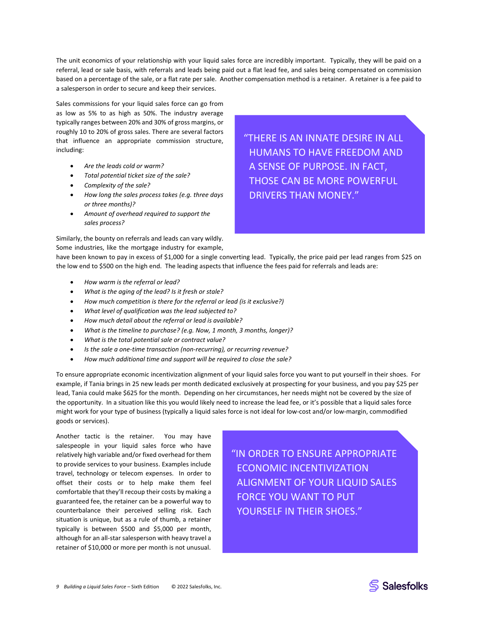The unit economics of your relationship with your liquid sales force are incredibly important. Typically, they will be paid on a referral, lead or sale basis, with referrals and leads being paid out a flat lead fee, and sales being compensated on commission based on a percentage of the sale, or a flat rate per sale. Another compensation method is a retainer. A retainer is a fee paid to a salesperson in order to secure and keep their services.

Sales commissions for your liquid sales force can go from as low as 5% to as high as 50%. The industry average typically ranges between 20% and 30% of gross margins, or roughly 10 to 20% of gross sales. There are several factors that influence an appropriate commission structure, including:

- *Are the leads cold or warm?*
- *Total potential ticket size of the sale?*
- *Complexity of the sale?*
- *How long the sales process takes (e.g. three days or three months)?*
- *Amount of overhead required to support the sales process?*

Similarly, the bounty on referrals and leads can vary wildly. Some industries, like the mortgage industry for example, "THERE IS AN INNATE DESIRE IN ALL HUMANS TO HAVE FREEDOM AND A SENSE OF PURPOSE. IN FACT, THOSE CAN BE MORE POWERFUL DRIVERS THAN MONEY."

have been known to pay in excess of \$1,000 for a single converting lead. Typically, the price paid per lead ranges from \$25 on the low end to \$500 on the high end. The leading aspects that influence the fees paid for referrals and leads are:

- *How warm is the referral or lead?*
- *What is the aging of the lead? Is it fresh or stale?*
- *How much competition is there for the referral or lead (is it exclusive?)*
- *What level of qualification was the lead subjected to?*
- *How much detail about the referral or lead is available?*
- *What is the timeline to purchase? (e.g. Now, 1 month, 3 months, longer)?*
- *What is the total potential sale or contract value?*
- *Is the sale a one-time transaction (non-recurring), or recurring revenue?*
- *How much additional time and support will be required to close the sale?*

To ensure appropriate economic incentivization alignment of your liquid sales force you want to put yourself in their shoes. For example, if Tania brings in 25 new leads per month dedicated exclusively at prospecting for your business, and you pay \$25 per lead, Tania could make \$625 for the month. Depending on her circumstances, her needs might not be covered by the size of the opportunity. In a situation like this you would likely need to increase the lead fee, or it's possible that a liquid sales force might work for your type of business (typically a liquid sales force is not ideal for low-cost and/or low-margin, commodified goods or services).

Another tactic is the retainer. You may have salespeople in your liquid sales force who have relatively high variable and/or fixed overhead for them to provide services to your business. Examples include travel, technology or telecom expenses. In order to offset their costs or to help make them feel comfortable that they'll recoup their costs by making a guaranteed fee, the retainer can be a powerful way to counterbalance their perceived selling risk. Each situation is unique, but as a rule of thumb, a retainer typically is between \$500 and \$5,000 per month, although for an all-star salesperson with heavy travel a retainer of \$10,000 or more per month is not unusual.

"IN ORDER TO ENSURE APPROPRIATE ECONOMIC INCENTIVIZATION ALIGNMENT OF YOUR LIQUID SALES FORCE YOU WANT TO PUT YOURSELF IN THEIR SHOES."

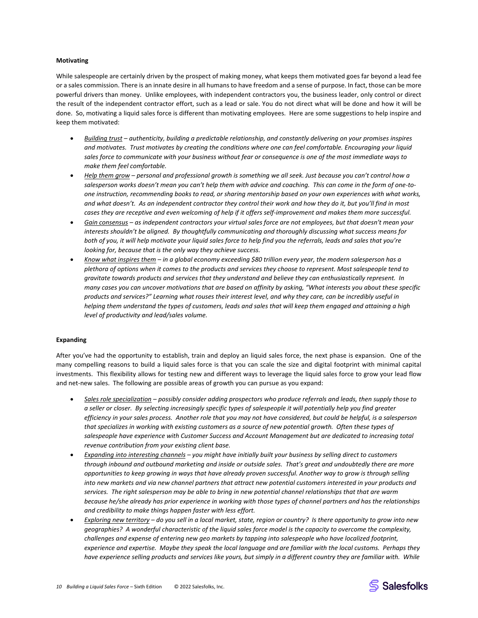#### **Motivating**

While salespeople are certainly driven by the prospect of making money, what keeps them motivated goes far beyond a lead fee or a sales commission. There is an innate desire in all humans to have freedom and a sense of purpose. In fact, those can be more powerful drivers than money. Unlike employees, with independent contractors you, the business leader, only control or direct the result of the independent contractor effort, such as a lead or sale. You do not direct what will be done and how it will be done. So, motivating a liquid sales force is different than motivating employees. Here are some suggestions to help inspire and keep them motivated:

- *Building trust – authenticity, building a predictable relationship, and constantly delivering on your promises inspires and motivates. Trust motivates by creating the conditions where one can feel comfortable. Encouraging your liquid sales force to communicate with your business without fear or consequence is one of the most immediate ways to make them feel comfortable.*
- *Help them grow – personal and professional growth is something we all seek. Just because you can't control how a salesperson works doesn't mean you can't help them with advice and coaching. This can come in the form of one-toone instruction, recommending books to read, or sharing mentorship based on your own experiences with what works, and what doesn't. As an independent contractor they control their work and how they do it, but you'll find in most cases they are receptive and even welcoming of help if it offers self-improvement and makes them more successful.*
- *Gain consensus – as independent contractors your virtual sales force are not employees, but that doesn't mean your interests shouldn't be aligned. By thoughtfully communicating and thoroughly discussing what success means for both of you, it will help motivate your liquid sales force to help find you the referrals, leads and sales that you're looking for, because that is the only way they achieve success.*
- *Know what inspires them – in a global economy exceeding \$80 trillion every year, the modern salesperson has a plethora of options when it comes to the products and services they choose to represent. Most salespeople tend to gravitate towards products and services that they understand and believe they can enthusiastically represent. In many cases you can uncover motivations that are based on affinity by asking, "What interests you about these specific products and services?" Learning what rouses their interest level, and why they care, can be incredibly useful in helping them understand the types of customers, leads and sales that will keep them engaged and attaining a high level of productivity and lead/sales volume.*

#### **Expanding**

After you've had the opportunity to establish, train and deploy an liquid sales force, the next phase is expansion. One of the many compelling reasons to build a liquid sales force is that you can scale the size and digital footprint with minimal capital investments. This flexibility allows for testing new and different ways to leverage the liquid sales force to grow your lead flow and net-new sales. The following are possible areas of growth you can pursue as you expand:

- *Sales role specialization – possibly consider adding prospectors who produce referrals and leads, then supply those to a seller or closer. By selecting increasingly specific types of salespeople it will potentially help you find greater efficiency in your sales process. Another role that you may not have considered, but could be helpful, is a salesperson that specializes in working with existing customers as a source of new potential growth. Often these types of salespeople have experience with Customer Success and Account Management but are dedicated to increasing total revenue contribution from your existing client base.*
- *Expanding into interesting channels – you might have initially built your business by selling direct to customers through inbound and outbound marketing and inside or outside sales. That's great and undoubtedly there are more opportunities to keep growing in ways that have already proven successful. Another way to grow is through selling into new markets and via new channel partners that attract new potential customers interested in your products and services. The right salesperson may be able to bring in new potential channel relationships that that are warm because he/she already has prior experience in working with those types of channel partners and has the relationships and credibility to make things happen faster with less effort.*
- *Exploring new territory – do you sell in a local market, state, region or country? Is there opportunity to grow into new geographies? A wonderful characteristic of the liquid sales force model is the capacity to overcome the complexity, challenges and expense of entering new geo markets by tapping into salespeople who have localized footprint, experience and expertise. Maybe they speak the local language and are familiar with the local customs. Perhaps they have experience selling products and services like yours, but simply in a different country they are familiar with. While*

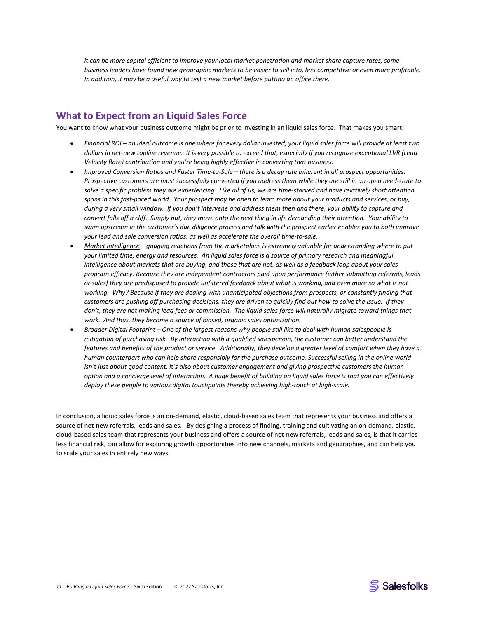*it can be more capital efficient to improve your local market penetration and market share capture rates, some business leaders have found new geographic markets to be easier to sell into, less competitive or even more profitable. In addition, it may be a useful way to test a new market before putting an office there.*

# **What to Expect from an Liquid Sales Force**

You want to know what your business outcome might be prior to investing in an liquid sales force. That makes you smart!

- *Financial ROI – an ideal outcome is one where for every dollar invested, your liquid sales force will provide at least two dollars in net-new topline revenue. It is very possible to exceed that, especially if you recognize exceptional LVR (Lead Velocity Rate) contribution and you're being highly effective in converting that business.*
- *Improved Conversion Ratios and Faster Time-to-Sale – there is a decay rate inherent in all prospect opportunities. Prospective customers are most successfully converted if you address them while they are still in an open need-state to solve a specific problem they are experiencing. Like all of us, we are time-starved and have relatively short attention spans in this fast-paced world. Your prospect may be open to learn more about your products and services, or buy, during a very small window. If you don't intervene and address them then and there, your ability to capture and convert falls off a cliff. Simply put, they move onto the next thing in life demanding their attention. Your ability to swim upstream in the customer's due diligence process and talk with the prospect earlier enables you to both improve your lead and sale conversion ratios, as well as accelerate the overall time-to-sale.*
- *Market Intelligence – gauging reactions from the marketplace is extremely valuable for understanding where to put your limited time, energy and resources. An liquid sales force is a source of primary research and meaningful intelligence about markets that are buying, and those that are not, as well as a feedback loop about your sales program efficacy. Because they are independent contractors paid upon performance (either submitting referrals, leads or sales) they are predisposed to provide unfiltered feedback about what is working, and even more so what is not working. Why? Because if they are dealing with unanticipated objections from prospects, or constantly finding that customers are pushing off purchasing decisions, they are driven to quickly find out how to solve the issue. If they don't, they are not making lead fees or commission. The liquid sales force will naturally migrate toward things that work. And thus, they become a source of biased, organic sales optimization.*
- *Broader Digital Footprint – One of the largest reasons why people still like to deal with human salespeople is mitigation of purchasing risk. By interacting with a qualified salesperson, the customer can better understand the features and benefits of the product or service. Additionally, they develop a greater level of comfort when they have a human counterpart who can help share responsibly for the purchase outcome. Successful selling in the online world*  isn't just about good content, it's also about customer engagement and giving prospective customers the human *option and a concierge level of interaction. A huge benefit of building an liquid sales force is that you can effectively deploy these people to various digital touchpoints thereby achieving high-touch at high-scale.*

In conclusion, a liquid sales force is an on-demand, elastic, cloud-based sales team that represents your business and offers a source of net-new referrals, leads and sales. By designing a process of finding, training and cultivating an on-demand, elastic, cloud-based sales team that represents your business and offers a source of net-new referrals, leads and sales, is that it carries less financial risk, can allow for exploring growth opportunities into new channels, markets and geographies, and can help you to scale your sales in entirely new ways.